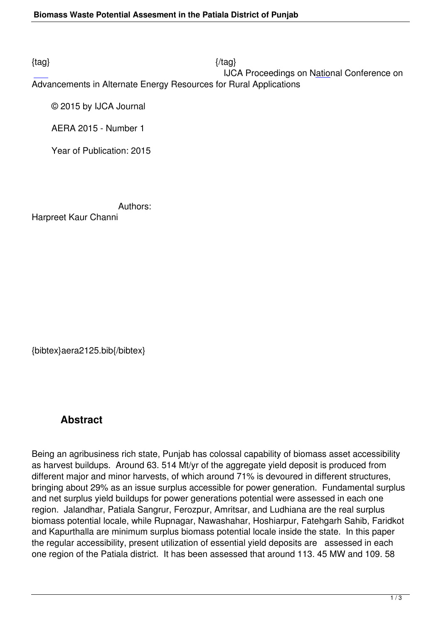$\{tag\}$ 

 IJCA Proceedings on National Conference on Advancements in Alternate Energy Resources for Rural Applications

© 2015 by IJCA Journal

AERA 2015 - Number 1

Year of Publication: 2015

Authors:

Harpreet Kaur Channi

{bibtex}aera2125.bib{/bibtex}

## **Abstract**

Being an agribusiness rich state, Punjab has colossal capability of biomass asset accessibility as harvest buildups. Around 63. 514 Mt/yr of the aggregate yield deposit is produced from different major and minor harvests, of which around 71% is devoured in different structures, bringing about 29% as an issue surplus accessible for power generation. Fundamental surplus and net surplus yield buildups for power generations potential were assessed in each one region. Jalandhar, Patiala Sangrur, Ferozpur, Amritsar, and Ludhiana are the real surplus biomass potential locale, while Rupnagar, Nawashahar, Hoshiarpur, Fatehgarh Sahib, Faridkot and Kapurthalla are minimum surplus biomass potential locale inside the state. In this paper the regular accessibility, present utilization of essential yield deposits are assessed in each one region of the Patiala district. It has been assessed that around 113. 45 MW and 109. 58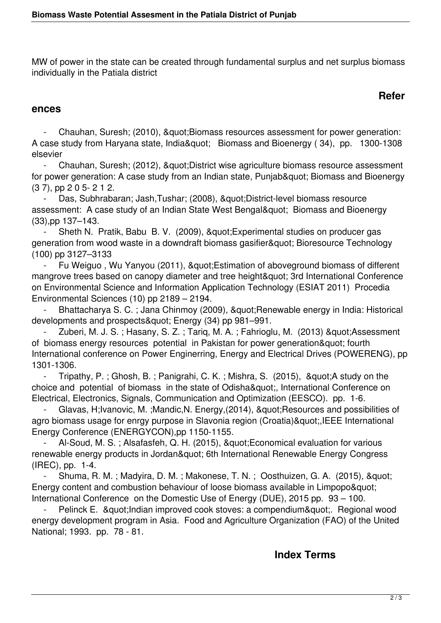MW of power in the state can be created through fundamental surplus and net surplus biomass individually in the Patiala district

## **Refer**

#### **ences**

Chauhan, Suresh; (2010), & quot; Biomass resources assessment for power generation: A case study from Haryana state, India" Biomass and Bioenergy (34), pp. 1300-1308 elsevier

Chauhan, Suresh; (2012), & quot; District wise agriculture biomass resource assessment for power generation: A case study from an Indian state, Punjab" Biomass and Bioenergy (3 7), pp 2 0 5- 2 1 2.

Das, Subhrabaran; Jash,Tushar; (2008), "District-level biomass resource assessment: A case study of an Indian State West Bengal" Biomass and Bioenergy (33),pp 137–143.

Sheth N. Pratik, Babu B. V. (2009), & quot; Experimental studies on producer gas generation from wood waste in a downdraft biomass gasifier" Bioresource Technology (100) pp 3127–3133

Fu Weiguo, Wu Yanyou (2011), " Estimation of aboveground biomass of different mangrove trees based on canopy diameter and tree height" 3rd International Conference on Environmental Science and Information Application Technology (ESIAT 2011) Procedia Environmental Sciences (10) pp 2189 – 2194.

Bhattacharya S. C.; Jana Chinmoy (2009), " Renewable energy in India: Historical developments and prospects&quot: Energy (34) pp 981–991.

Zuberi, M. J. S.; Hasany, S. Z.; Tariq, M. A.; Fahrioglu, M. (2013) & quot; Assessment of biomass energy resources potential in Pakistan for power generation" fourth International conference on Power Enginerring, Energy and Electrical Drives (POWERENG), pp 1301-1306.

- Tripathy, P.; Ghosh, B.; Panigrahi, C. K.; Mishra, S. (2015), & auot: A study on the choice and potential of biomass in the state of Odisha", International Conference on Electrical, Electronics, Signals, Communication and Optimization (EESCO). pp. 1-6.

Glavas, H;Ivanovic, M. ;Mandic,N. Energy,(2014), "Resources and possibilities of agro biomass usage for enrgy purpose in Slavonia region (Croatia)",IEEE International Energy Conference (ENERGYCON),pp 1150-1155.

Al-Soud, M. S.; Alsafasfeh, Q. H. (2015), " Economical evaluation for various renewable energy products in Jordan" 6th International Renewable Energy Congress (IREC), pp. 1-4.

Shuma, R. M.; Madyira, D. M.; Makonese, T. N.; Oosthuizen, G. A. (2015), & quot; Energy content and combustion behaviour of loose biomass available in Limpopo" International Conference on the Domestic Use of Energy (DUE), 2015 pp. 93 – 100.

Pelinck E. & quot; Indian improved cook stoves: a compendium& quot;. Regional wood energy development program in Asia. Food and Agriculture Organization (FAO) of the United National; 1993. pp. 78 - 81.

### **Index Terms**